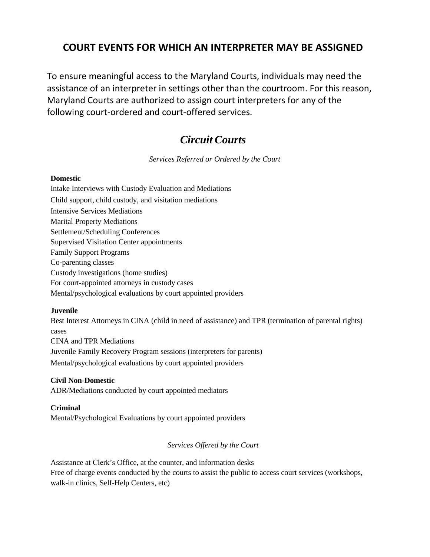### **COURT EVENTS FOR WHICH AN INTERPRETER MAY BE ASSIGNED**

To ensure meaningful access to the Maryland Courts, individuals may need the assistance of an interpreter in settings other than the courtroom. For this reason, Maryland Courts are authorized to assign court interpreters for any of the following court-ordered and court-offered services.

## *Circuit Courts*

*Services Referred or Ordered by the Court*

#### **Domestic**

Intake Interviews with Custody Evaluation and Mediations Child support, child custody, and visitation mediations Intensive Services Mediations Marital Property Mediations Settlement/Scheduling Conferences Supervised Visitation Center appointments Family Support Programs Co-parenting classes Custody investigations (home studies) For court-appointed attorneys in custody cases Mental/psychological evaluations by court appointed providers

#### **Juvenile**

Best Interest Attorneys in CINA (child in need of assistance) and TPR (termination of parental rights) cases CINA and TPR Mediations Juvenile Family Recovery Program sessions (interpreters for parents) Mental/psychological evaluations by court appointed providers

#### **Civil Non-Domestic**

ADR/Mediations conducted by court appointed mediators

#### **Criminal**

Mental/Psychological Evaluations by court appointed providers

#### *Services Offered by the Court*

Assistance at Clerk's Office, at the counter, and information desks Free of charge events conducted by the courts to assist the public to access court services (workshops, walk-in clinics, Self-Help Centers, etc)